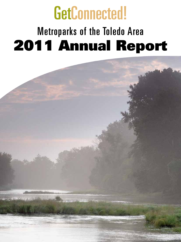# GetConnected! Metroparks of the Toledo Area 2011 Annual Report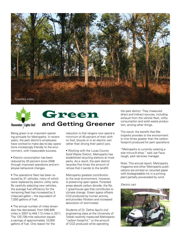



# **and Getting Greener** Green

Being green is an important operating principle for Metroparks. In recent years, the park district's employees have worked to make day-to-day operations increasingly friendly to the environment, with measurable success.

• Electric consumption has been reduced by 25 percent since 2006 through improved operations and employee behavioral changes.

• The operations fleet has been reduced by 31 vehicles, many of which were replaced by electric utility carts. By carefully selecting new vehicles, the average fuel efficiency for the remaining fleet has increased by 3 miles-per-gallon – the equivalent of 7,000 gallons of fuel.

• The annual number of miles driven also has decreased, from 546,849 miles in 2007 to 444,113 miles in 2011. The 120,736-mile reduction equals a savings of approximately 10,000 gallons of fuel. One reason for the

reduction is that rangers now spend a minimum of 45 percent of their shift on foot, bicycle or in an electric cart rather than driving their patrol cars.

• Working with the Lucas County Solid Waste District, Metroparks has established recycling stations at most parks. As a result, the park district recycles five times the amount of refuse that it sends to the landfill.

Metroparks greatest contribution to the local environment, however, is preserving open space. Forested areas absorb carbon dioxide, the No. 1 greenhouse gas that contributes to climate change. Green space offsets CO2 produced by human activity, and provides filtration and increased absorption of stormwater.

Students of Dr. Defne Apul's civil engineering class at the University of Toledo recently measured Metroparks "carbon footprint," or the amount of CO2 produced while operating

the park district. They measured direct and indirect sources, including exhaust from the vehicle fleet, utility consumption and solid waste production, among other things.

The result: the benefit that Metroparks provides to the environment is nine times greater than the carbon footprint produced for park operations.

"Metroparks is currently wearing a size minus-9 shoe," said Joe Fausnaugh, park services manager.

Note: This annual report, Metroparks magazine and other Metroparks publications are printed on recycled paper with biodegradable ink in a printing plant partially powereded by wind.

#### *Electric cart*

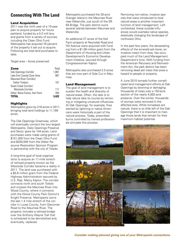# **Connecting With The Land**

#### Land Acquisition

2011 was the ninth year of a 10-year plan to acquire property for future parkland, funded by a 0.3 mill levy and grants from a variety of sources, including the Clean Ohio Fund. Metroparks has acquired 76 percent of the property it set out to acquire. Following are total land purchases to date.

Target area – Acres preserved

#### **Zone** Total

| Oak Openings Corridor         | 1.867 |
|-------------------------------|-------|
| Lake Erie Coastal Zone Area   | 987   |
| Maumee River Corridor/        |       |
| <b>Fallen Timbers</b>         | 101   |
| Swan Creek Corridor/          |       |
| Westside Corridor             | 117   |
| Other: Nona France, Keil Farm | 350   |
| <b>TOTAL</b>                  | 3.422 |
|                               |       |

#### **Highlights**

Metroparks grew by 216 acres in 2011, bringing total land holdings to 11,169 acres.

The Oak Openings Greenway, which will eventually connect the two largest Metroparks, Oaks Openings Preserve and Secor, grew by 144 acres. Land purchases were made using grants of \$151,000 from the Clean Ohio Fund and \$200,000 from the Water Resource Restoration Sponsor Program in partnership with the city of Toledo.

A long-time goal of local organizations to acquire an 11-mile stretch of railroad property known as the Westside Corridor became a reality in 2011. The land was purchased with a \$5.6 million grant from the Federal Highway Administration secured by U.S. Rep. Marcy Kaptur. The corridor connects north and south Toledo and crosses the Maumee River into Wood County, where it connects with the Wood County Park District's Knight Preserve. Metroparks owns the last 1.4 mile stretch of the corridor in Lucas County, from Glanzman Road to the Maumee River. The property includes a railroad bridge over the Anthony Wayne Trail that is scheduled to be demolished and, eventually, replaced.

Metroparks purchased the 30-acre Granger Island in the Maumee River near Waterville, just south of the SR 64 Bridge. The park district owns several islands between Maumee and Waterville.

An additional 27 acres of the Keil Farm property at Reynolds Road and Hill Avenue were acquired with funding from a \$1.08 million grant from the Department of Housing and Urban Development's Economic Development Initiative, secured through Congresswoman Kaptur.

Metroparks also purchased 2.5 acres that are now part of Side Cut in Maumee.

#### Land Management

The goal of land management is to sustain the health and diversity of natural areas. Often, the task is to help nature take its course by removing or mitigating unnatural influences. At Oak Openings, for example, fires started by lightning or native Americans were historically a part of the natural process. Today, prescribed burns controlled by trained professionals simulate this process.

Removing non-native, invasive species that were introduced to local natural areas is another important function of land management. Left unchecked, these outside influences would overtake native species, drastically changing the landscape of northwest Ohio.

In the past few years, the devastating effects of the emerald ash borer, an invasive insect from Asia, has occupied much of the Land Management Department's time. With funding from the American Recovery and Reinvestment Act, the park district has been removing dead ash trees that pose a hazard to people or property.

A June 2010 tornado further complicated land management efforts at Oak Openings by downing or damaging thousands of trees over a 150-acre section of the nearly 4,000 acre preserve. Over the winter, thousands of stumps were removed in the affected area. While tornadoes are natural, there is so little left of the Oak Openings that it is important to manage those lands that remain for their maximum habitat potential.



*Consider making planned giving one of your Metroparks connections.*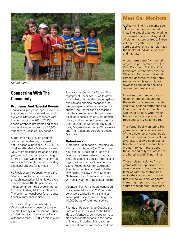

*Nature Camp*

# **Connecting With The Community**

#### Programs And Special Events

Educational programs, special events, attractions and educational outreach are ways Metroparks connects with the community. In 2011, 62,930 people attended programs and special events, including more than 10,800 students in Lucas County schools.

Summer camps provide children with a memorable day or weeklong, nature-based experience. In 2011, 370 children attended a Metroparks camp. New themed camps are added each year, and in 2012, camps are being offered at Oak Openings Preserve as well as Wildwood Preserve, providing additional options for families.

At Providence Metropark, where the Miami & Erie Canal comes to life through interactive living history experiences, about 10,000 people, including students from 52 schools, toured the Isaac Ludwig Mill and/or boarded The Volunteer canal boat for an educational journey back in time.

Nearly 29,000 people visited the Wildwood Manor House for tours or events. Holidays in the Manor House, a Toledo tradition, had a record year with more than 18,000 visitors in eight days.

The National Center for Nature Photography at Secor continues to grow in popularity with well-attended gallery exhibits and opening receptions, as well as capacity attendance at workshops. The Center has also reached into the community with special exhibits at venues such as Main Branch Library in downtown Toledo, One Government Center, Maumee Bay State Park, Magee Marsh State Wildlife Area and The Andersons corporate offices in Maumee.

#### **Volunteers**

More than 3,000 people, including 79 groups, contributed 40,447 volunteer hours in 2011, helping to keep the Metroparks clean, safe and natural. They included individuals, families and organizations such as Adelante, The Latino Resource Center, ZooTeens, The Church of Jesus Christ of Latter Day Saints, the law firm of Spengler Nathanson, First Solar and Lourdes University Women's Basketball Team.

Volunteer Trail Patrol hours continued to increase. More than 200 dedicated volunteers walked the trails and assisted park visitors, contributing over 10,000 hours of volunteer service!

Friends of Pearson, Side Cut and the Lathrop House, as well as the Manor House Volunteers, continued to make significant contributions to their area of interest, including financial or inkind donations and advocacy for their

# **Meet Our Monitors**

You will find Metroparks species monitors in the field installing bluebird boxes, wading into vernal pools or taking stock of plants, raptors or frogs. These volunteers gather data and record observations that help track the health of individual species and habitats.

A long-term butterfly monitoring project, in partnership with the Ohio Division of Wildlife, Ohio Lepidopterists Society and the Cleveland Museum of Natural History, documents long- term trends, which is essential to revealing population declines before their final stages.

Likewise, the breeding raptor research project documents the nesting success and habitat use of all nesting raptor species (hawks and owls) in the Oak Openings Region. Other volunteers monitor rare plants, bats, frogs and cavity-nesting birds.

The Vernal Pool Monitoring Program raises public awareness of the existence of vernal pools and their importance in local biodiversity. It allows people to participate in a field-research based program to learn more about these periodically wet areas that are bursting with living things.

These "citizen science" programs offer an opportunity for nature lovers to become more familiar with the Metroparks while they collect information that will be valuable long-term in making important natural resource management decisions.

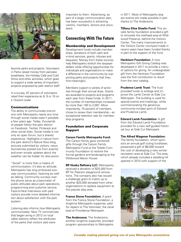

favorite parks and projects. Volunteers in Parks raised money from pancake breakfasts, the Holiday Café and Craft Show and other activities, which goes to support a wide variety of important projects proposed by park district staff.

In a survey, 97 percent of volunteers rated their experience an 8, 9 or 10 on a 10-point scale.

#### Communications

The ability to communicate one-onone with Metroparks nearly any time through social media wasn't possible a few years ago. Today, thousands of people follow the park district on Facebook, Twitter, Pinterest and other social sites. Social media is not only an open forum, but a shared experience. Highlights in nature from the park district's Nature Now blog, pictures submitted by visitors, news (sometimes posted live from events) and even simple updates about the weather can be fodder for discussion.

"Social" is more than a means of communication, it's also an attitude. Metroparks has long embraced twoway communication, listening as well as talking. Community surveys over the phone serve as a barometer of public attitudes about park operations, programming and customer service. Face-to-face interviews with park visitors provide more detailed information about satisfaction with the park system.

Listening also informs *how* Metroparks communicates. New TV commercials that began airing in 2012 on local cable stations reflect the attributes of the parks that visitors said were

important to them. Advertising, as part of a larger communication plan, has been successful in attracting visitors, members, donors and volunteers.

## **Connecting With The Future**

#### Membership and Development

Development funds include memberships, donations of both cash and in-kind services, grants, tributes and bequests. Money from these sources help Metroparks stretch the taxpayer dollars while offering opportunities for individuals and organizations to make a difference in the community by supporting parks and projects that they find meaningful.

Members support a variety of activities through their annual dues. Grants are awarded to projects and programs each year from these funds. In 2011, the number of memberships increased by more than 100 to 2,097. More importantly, 75 percent of members chose to renew their membership – an exceptional retention rate for membership programs.

#### Foundation and Corporate Support

#### **Carson Family Metroparks Fund:**

The Carson family gave combined gifts through the Carson Family Metroparks Fund at the Toledo Community Foundation to restore the formal gardens and landscaping at the Wildwood Manor House.

**BP-Husky Refinery LLC:** Metroparks received a donation of \$25,000 from BP for Pearson playground renovations. The company also has issued a challenge grant to match up to another \$25,000 donated from other organizations to replace equipment at the popular play area.

**France Stone Foundation:** A grant from the France Stone Foundation, a longtime Metroparks supporter, paid for repairs to The Volunteer, the canal boat at Providence Metropark.

**The Andersons:** The Andersons, another longtime supporter, provided program sponsorships to Metroparks

in 2011. Most of Metroparks largest events are made possible in part thanks to The Andersons.

**Tiffany Elise Staelin Fund:** This private family foundation provided a gift to renovate the trailhead area at Wildwood Preserve, behind the Visitors Center. The many improvements to the Visitors Center courtyard made in recent years have been funded thanks in part to the support of the fund.

**Hankison Foundation:** A new Metroparks Gift Giving Catalog was developed in 2011 to provide a menu of options for giving. An undesignated gift from the Hankison Foundation was the first contribution to result from the new catalog.

**Prudence Lamb Trust:** The trust provided funds to enlarge and improve the Lamb Center at Side Cut Metropark. The building is used for special events and meetings, while commemorating the generous, community-minded spirit of Edward and Prudence Lamb.

**Edward Lamb Foundation:** A gift from the Edward Lamb Foundation provided for a new self-guided historical tour at Side Cut Metropark.

#### **The Alfred Wagener Foundation:**

The family foundation, which sponsors an annual golf outing fundraiser, presented a gift of \$6,000 toward the cost of developing a new winter recreation area at Side Cut. The area, which already included a sledding hill opened in 2010 with support of the

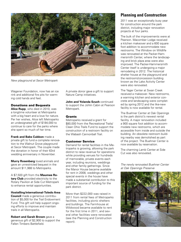

*New playground at Secor Metropark*

Wagener Foundation, now has an ice rink and additional fire pits for warming cold hands and feet.

#### Donations and Bequests

**Alice Rupp**, who died in 2010, was a longtime volunteer at Metroparks with a big heart and a love for nature. Per her wishes, Alice left Metroparks an undesignated gift of \$184,000 to continue to care for the parks where she spent so much of her time.

**Frank and Babs Cubbon** made a private gift to fund a complete renovation to the Walnut Grove playground at Secor Metropark. The couple made the donation in honor of their 63rd wedding anniversary in November.

**Murry Rosenberg** loved animals and gave an unrestricted bequest in the amount \$11,988 to Metroparks.

A \$7,500 gift from the **Maumee Rotary Club** provided electricity to the Rotary Pavilion at Side Cut Metropark to enhance rental opportunities.

#### **Hostelling International-Toledo Area**

**Council** made a generous contribution of \$5,000 for the Trail Endowment Fund. This gift will help support ongoing efforts to improve and maintain trails in all Metroparks.

**Robert and Sarah Brown** gave a generous gift of \$2,900 to support the Fallen Timbers Battlefield.

A private donor gave a gift to support Nature Camp initiatives.

**John and Yolanda Szuch** continued to support the Johlin Cabin at Pearson Metropark.

#### **Grants**

Metroparks received a grant for \$80,000 from the Recreational Trails/ Clean Ohio Trails Fund to support the construction of a restroom facility on the Wabash Cannonball Trail.

#### Customer Service

Demand for rental facilities in the Metroparks is growing, allowing the park district to raise revenue for operations while providing venues for hundreds of memorable, private events each year, including reunions, weddings and other family gatherings. Since the Manor House became available for rent in 2008, weddings and other special events in the house have made a substantial contribution to this important source of funding for the park district.

More than \$222,000 was raised in 2011 from rental fees of Metroparks facilities, including picnic shelters and buildings. The Farmhouse at Wildwood became available to rent for the first time in 2011, and several other facilities were renovated (see the Planning and Construction report).

### **Planning and Construction**

2011 was an exceptionally busy year for construction around the park district, including major renovation projects at four parks.

The bulk of the improvements were at Pearson. Macomber Lodge received a kitchen makeover and a 600 square foot addition to accommodate new restrooms. The Window on Wildlife was renovated at the Packer-Hammersmith Center, where the landscaping and brick plaza area were also improved. The Packer-Hammersmith Center itself is undergoing a major remodeling in 2012. The historical shelter house at the playground and the restroom/concession building known as the Lake Activity Center were also renovated.

The Yager Center at Swan Creek received a makeover. New restrooms, a warming kitchen and exterior concrete and landscaping were completed by spring 2012 and the like-new facility is now available for rental.

The Buehner Center at Oak Openings is the park district's newest rental facility. A major renovation included a 900 square foot addition to accommodate new restrooms, which are accessible from inside and outside the building. An obsolete restroom building nearby was demolished as part of the project. The Buehner Center is now available by reservation.

The charming Lamb Center at Side Cut was also renovated.

*The newly renovated Buehner Center at Oak Openings Preserve*

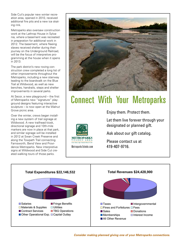Side Cut's popular new winter recreation area, opened in 2010, received additional fire pits and a new ice skating rink.

Metroparks also oversaw construction work at the Lathrop House in Sylvania, where a basement was recreated in preparation for additional work in 2012. The basement, where fleeing slaves received shelter during their journey on the Underground Railroad, will be the focus of interpretive programming at the house when it opens in 2013.

The park district's new roving construction crew completed a long list of other improvements throughout the Metroparks, including a new stairway leading to the boardwalk on the Blue Trail at Wildwood, as well as new benches, handrails, steps and shelter improvements in several parks.

At Secor, a new playground – the first of Metroparks new "signature" playground designs featuring interactive sculpture – is now open at the Walnut Grove picnic area.

Over the winter, crews began installing a new system of trail signage at Wildwood. A new trailhead kiosk, directional signage and 10th-mile markers are now in place at that park, and similar signage will be installed in 2012 at Swan Creek Preserve and along the Towpath Trail connecting Farnsworth, Bend View and Providence Metroparks. New interpretive signs at Wildwood and Side Cut created walking tours of those parks.



# Connect With Your Metroparks



Enjoy them. Protect them.

Let them live forever through your designated or planned gift.

Ask about our gift catalog.

Please contact us at MetroparksToledo.com 419-407-9716.



*Consider making planned giving one of your Metroparks connections.*